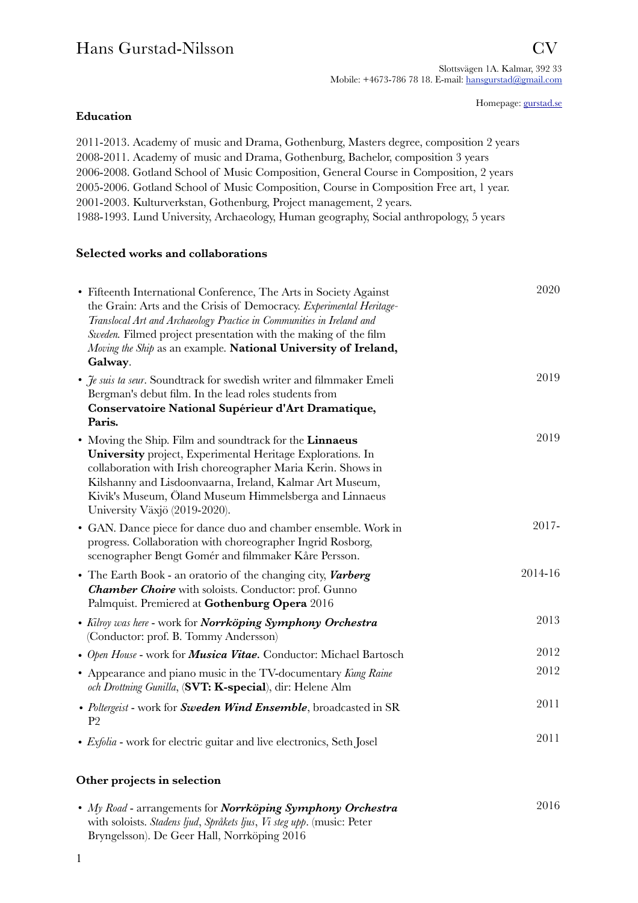# Hans Gurstad-Nilsson CV

Homepage: [gurstad.se](http://gurstad.se)

### **Education**

2011-2013. Academy of music and Drama, Gothenburg, Masters degree, composition 2 years 2008-2011. Academy of music and Drama, Gothenburg, Bachelor, composition 3 years 2006-2008. Gotland School of Music Composition, General Course in Composition, 2 years 2005-2006. Gotland School of Music Composition, Course in Composition Free art, 1 year. 2001-2003. Kulturverkstan, Gothenburg, Project management, 2 years. 1988-1993. Lund University, Archaeology, Human geography, Social anthropology, 5 years

### **Selected works and collaborations**

| • Fifteenth International Conference, The Arts in Society Against<br>the Grain: Arts and the Crisis of Democracy. Experimental Heritage-<br>Translocal Art and Archaeology Practice in Communities in Ireland and<br>Sweden. Filmed project presentation with the making of the film<br>Moving the Ship as an example. National University of Ireland,<br>Galway. | 2020    |
|-------------------------------------------------------------------------------------------------------------------------------------------------------------------------------------------------------------------------------------------------------------------------------------------------------------------------------------------------------------------|---------|
| • <i>Je suis ta seur</i> . Soundtrack for swedish writer and filmmaker Emeli<br>Bergman's debut film. In the lead roles students from<br>Conservatoire National Supérieur d'Art Dramatique,<br>Paris.                                                                                                                                                             | 2019    |
| • Moving the Ship. Film and soundtrack for the Linnaeus<br>University project, Experimental Heritage Explorations. In<br>collaboration with Irish choreographer Maria Kerin. Shows in<br>Kilshanny and Lisdoonvaarna, Ireland, Kalmar Art Museum,<br>Kivik's Museum, Öland Museum Himmelsberga and Linnaeus<br>University Växjö (2019-2020).                      | 2019    |
| • GAN. Dance piece for dance duo and chamber ensemble. Work in<br>progress. Collaboration with choreographer Ingrid Rosborg,<br>scenographer Bengt Gomér and filmmaker Kåre Persson.                                                                                                                                                                              | 2017-   |
| • The Earth Book - an oratorio of the changing city, <i>Varberg</i><br><b>Chamber Choire</b> with soloists. Conductor: prof. Gunno<br>Palmquist. Premiered at Gothenburg Opera 2016                                                                                                                                                                               | 2014-16 |
| • Kilroy was here - work for Norrköping Symphony Orchestra<br>(Conductor: prof. B. Tommy Andersson)                                                                                                                                                                                                                                                               | 2013    |
| • Open House - work for <b>Musica Vitae</b> . Conductor: Michael Bartosch                                                                                                                                                                                                                                                                                         | 2012    |
| • Appearance and piano music in the TV-documentary Kung Raine<br>och Drottning Gunilla, (SVT: K-special), dir: Helene Alm                                                                                                                                                                                                                                         | 2012    |
| • Poltergeist - work for Sweden Wind Ensemble, broadcasted in SR<br>P <sub>2</sub>                                                                                                                                                                                                                                                                                | 2011    |
| • Exfolia - work for electric guitar and live electronics, Seth Josel                                                                                                                                                                                                                                                                                             | 2011    |
|                                                                                                                                                                                                                                                                                                                                                                   |         |

# **Other projects in selection**

| • My Road - arrangements for Norrköping Symphony Orchestra             | 2016 |
|------------------------------------------------------------------------|------|
| with soloists. Stadens ljud, Språkets ljus, Vi steg upp. (music: Peter |      |
| Bryngelsson). De Geer Hall, Norrköping 2016                            |      |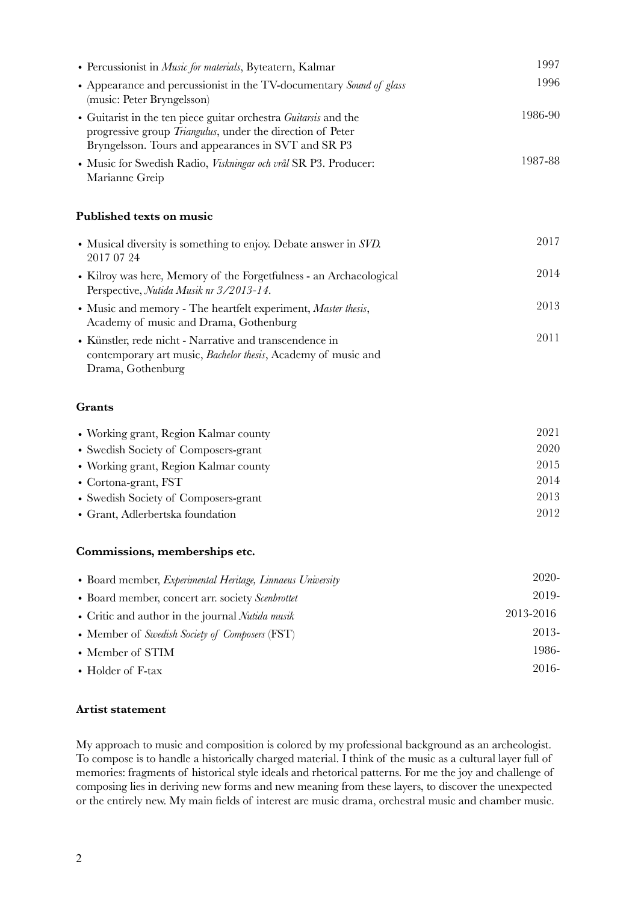| • Percussionist in <i>Music for materials</i> , Byteatern, Kalmar                                                                                                                                   | 1997    |
|-----------------------------------------------------------------------------------------------------------------------------------------------------------------------------------------------------|---------|
| • Appearance and percussionist in the TV-documentary Sound of glass<br>(music: Peter Bryngelsson)                                                                                                   | 1996    |
| • Guitarist in the ten piece guitar orchestra <i>Guitarsis</i> and the<br>progressive group <i>Triangulus</i> , under the direction of Peter<br>Bryngelsson. Tours and appearances in SVT and SR P3 | 1986-90 |
| • Music for Swedish Radio, <i>Viskningar och vrål</i> SR P3. Producer:<br>Marianne Greip                                                                                                            | 1987-88 |
| Published texts on music                                                                                                                                                                            |         |
| • Musical diversity is something to enjoy. Debate answer in $SVD$ .<br>2017 07 24                                                                                                                   | 2017    |
| • Kilroy was here, Memory of the Forgetfulness - an Archaeological<br>Perspective, Nutida Musik nr 3/2013-14.                                                                                       | 2014    |
| • Music and memory - The heartfelt experiment, Master thesis,<br>Academy of music and Drama, Gothenburg                                                                                             | 2013    |
| • Künstler, rede nicht - Narrative and transcendence in<br>contemporary art music, <i>Bachelor thesis</i> , Academy of music and<br>Drama, Gothenburg                                               | 2011    |

#### **Grants**

| • Working grant, Region Kalmar county | 2021 |
|---------------------------------------|------|
| • Swedish Society of Composers-grant  | 2020 |
| • Working grant, Region Kalmar county | 2015 |
| • Cortona-grant, $\text{FST}$         | 2014 |
| • Swedish Society of Composers-grant  | 2013 |
| • Grant, Adlerbertska foundation      | 2012 |

#### **Commissions, memberships etc.**

| • Board member, <i>Experimental Heritage</i> , <i>Linnaeus University</i> | 2020-     |
|---------------------------------------------------------------------------|-----------|
| • Board member, concert arr. society Scenbrottet                          | 2019-     |
| • Critic and author in the journal <i>Nutida musik</i>                    | 2013-2016 |
| • Member of Swedish Society of Composers (FST)                            | 2013-     |
| • Member of STIM                                                          | 1986-     |
| • Holder of F-tax                                                         | 2016-     |

#### **Artist statement**

My approach to music and composition is colored by my professional background as an archeologist. To compose is to handle a historically charged material. I think of the music as a cultural layer full of memories: fragments of historical style ideals and rhetorical patterns. For me the joy and challenge of composing lies in deriving new forms and new meaning from these layers, to discover the unexpected or the entirely new. My main fields of interest are music drama, orchestral music and chamber music.